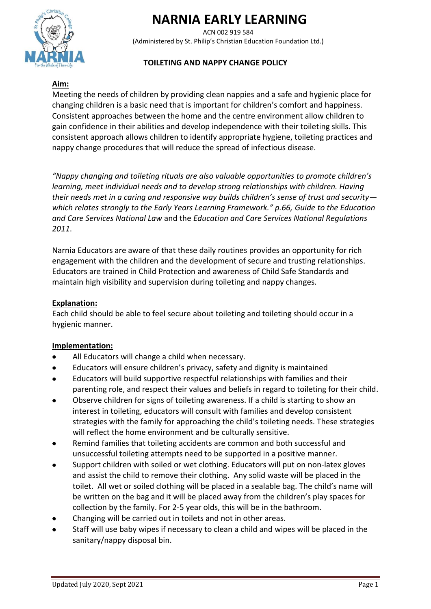# **NARNIA EARLY LEARNING**

ACN 002 919 584 (Administered by St. Philip's Christian Education Foundation Ltd.)

# **TOILETING AND NAPPY CHANGE POLICY**

# **Aim:**

Meeting the needs of children by providing clean nappies and a safe and hygienic place for changing children is a basic need that is important for children's comfort and happiness. Consistent approaches between the home and the centre environment allow children to gain confidence in their abilities and develop independence with their toileting skills. This consistent approach allows children to identify appropriate hygiene, toileting practices and nappy change procedures that will reduce the spread of infectious disease.

*"Nappy changing and toileting rituals are also valuable opportunities to promote children's learning, meet individual needs and to develop strong relationships with children. Having their needs met in a caring and responsive way builds children's sense of trust and security which relates strongly to the Early Years Learning Framework." p.66, Guide to the Education and Care Services National Law* and the *Education and Care Services National Regulations 2011*.

Narnia Educators are aware of that these daily routines provides an opportunity for rich engagement with the children and the development of secure and trusting relationships. Educators are trained in Child Protection and awareness of Child Safe Standards and maintain high visibility and supervision during toileting and nappy changes.

## **Explanation:**

Each child should be able to feel secure about toileting and toileting should occur in a hygienic manner.

## **Implementation:**

- All Educators will change a child when necessary.
- Educators will ensure children's privacy, safety and dignity is maintained
- Educators will build supportive respectful relationships with families and their parenting role, and respect their values and beliefs in regard to toileting for their child.
- Observe children for signs of toileting awareness. If a child is starting to show an interest in toileting, educators will consult with families and develop consistent strategies with the family for approaching the child's toileting needs. These strategies will reflect the home environment and be culturally sensitive.
- Remind families that toileting accidents are common and both successful and unsuccessful toileting attempts need to be supported in a positive manner.
- Support children with soiled or wet clothing. Educators will put on non-latex gloves and assist the child to remove their clothing. Any solid waste will be placed in the toilet. All wet or soiled clothing will be placed in a sealable bag. The child's name will be written on the bag and it will be placed away from the children's play spaces for collection by the family. For 2-5 year olds, this will be in the bathroom.
- Changing will be carried out in toilets and not in other areas.
- Staff will use baby wipes if necessary to clean a child and wipes will be placed in the sanitary/nappy disposal bin.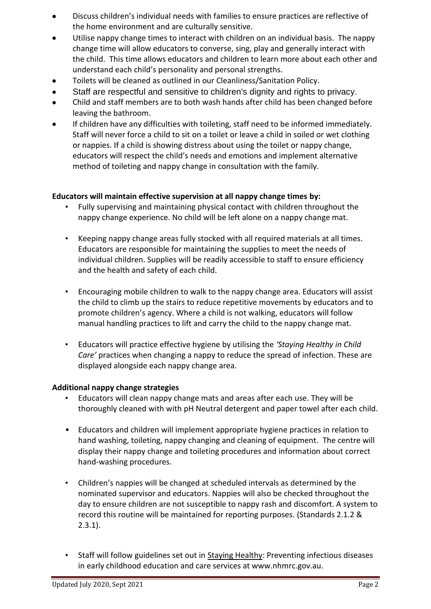- Discuss children's individual needs with families to ensure practices are reflective of the home environment and are culturally sensitive.
- Utilise nappy change times to interact with children on an individual basis. The nappy change time will allow educators to converse, sing, play and generally interact with the child. This time allows educators and children to learn more about each other and understand each child's personality and personal strengths.
- Toilets will be cleaned as outlined in our Cleanliness/Sanitation Policy.
- Staff are respectful and sensitive to children's dignity and rights to privacy.
- Child and staff members are to both wash hands after child has been changed before leaving the bathroom.
- If children have any difficulties with toileting, staff need to be informed immediately. Staff will never force a child to sit on a toilet or leave a child in soiled or wet clothing or nappies. If a child is showing distress about using the toilet or nappy change, educators will respect the child's needs and emotions and implement alternative method of toileting and nappy change in consultation with the family.

### **Educators will maintain effective supervision at all nappy change times by:**

- Fully supervising and maintaining physical contact with children throughout the nappy change experience. No child will be left alone on a nappy change mat.
- Keeping nappy change areas fully stocked with all required materials at all times. Educators are responsible for maintaining the supplies to meet the needs of individual children. Supplies will be readily accessible to staff to ensure efficiency and the health and safety of each child.
- Encouraging mobile children to walk to the nappy change area. Educators will assist the child to climb up the stairs to reduce repetitive movements by educators and to promote children's agency. Where a child is not walking, educators will follow manual handling practices to lift and carry the child to the nappy change mat.
- Educators will practice effective hygiene by utilising the *'Staying Healthy in Child Care'* practices when changing a nappy to reduce the spread of infection. These are displayed alongside each nappy change area.

#### **Additional nappy change strategies**

- Educators will clean nappy change mats and areas after each use. They will be thoroughly cleaned with with pH Neutral detergent and paper towel after each child.
- Educators and children will implement appropriate hygiene practices in relation to hand washing, toileting, nappy changing and cleaning of equipment. The centre will display their nappy change and toileting procedures and information about correct hand-washing procedures.
- Children's nappies will be changed at scheduled intervals as determined by the nominated supervisor and educators. Nappies will also be checked throughout the day to ensure children are not susceptible to nappy rash and discomfort. A system to record this routine will be maintained for reporting purposes. (Standards 2.1.2 & 2.3.1).
- Staff will follow guidelines set out in Staying Healthy: Preventing infectious diseases in early childhood education and care services at www.nhmrc.gov.au.